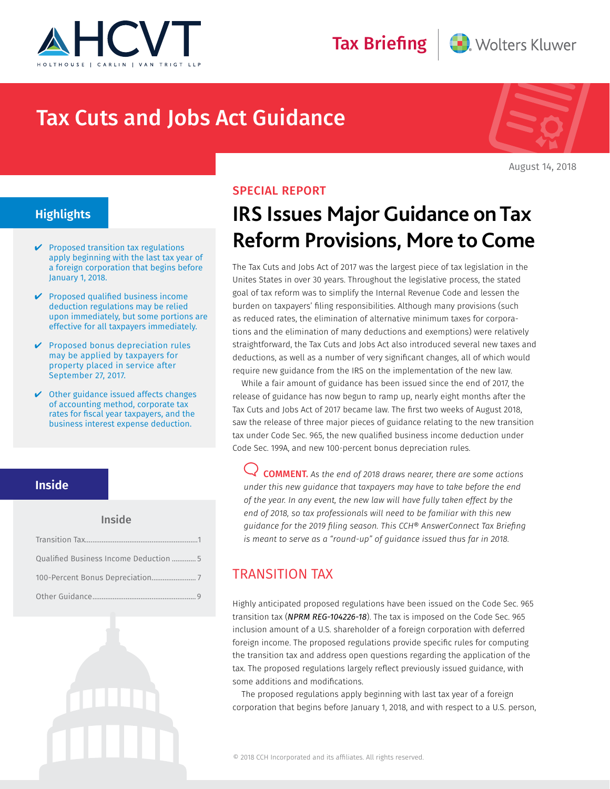



# Tax Cuts and Jobs Act Guidance



August 14, 2018

## **Highlights**

- $\vee$  Proposed transition tax regulations apply beginning with the last tax year of a foreign corporation that begins before January 1, 2018.
- $\vee$  Proposed qualified business income deduction regulations may be relied upon immediately, but some portions are effective for all taxpayers immediately.
- $\vee$  Proposed bonus depreciation rules may be applied by taxpayers for property placed in service after September 27, 2017.
- $\vee$  Other guidance issued affects changes of accounting method, corporate tax rates for fiscal year taxpayers, and the business interest expense deduction.

#### **Inside**

#### Inside

| Qualified Business Income Deduction  5 |
|----------------------------------------|
|                                        |
|                                        |

### SPECIAL REPORT

# **IRS Issues Major Guidance on Tax Reform Provisions, More to Come**

The Tax Cuts and Jobs Act of 2017 was the largest piece of tax legislation in the Unites States in over 30 years. Throughout the legislative process, the stated goal of tax reform was to simplify the Internal Revenue Code and lessen the burden on taxpayers' filing responsibilities. Although many provisions (such as reduced rates, the elimination of alternative minimum taxes for corporations and the elimination of many deductions and exemptions) were relatively straightforward, the Tax Cuts and Jobs Act also introduced several new taxes and deductions, as well as a number of very significant changes, all of which would require new guidance from the IRS on the implementation of the new law.

While a fair amount of guidance has been issued since the end of 2017, the release of guidance has now begun to ramp up, nearly eight months after the Tax Cuts and Jobs Act of 2017 became law. The first two weeks of August 2018, saw the release of three major pieces of guidance relating to the new transition tax under Code Sec. 965, the new qualified business income deduction under Code Sec. 199A, and new 100-percent bonus depreciation rules.

COMMENT. *As the end of 2018 draws nearer, there are some actions under this new guidance that taxpayers may have to take before the end of the year. In any event, the new law will have fully taken effect by the end of 2018, so tax professionals will need to be familiar with this new guidance for the 2019 filing season. This CCH® AnswerConnect Tax Briefing is meant to serve as a "round-up" of guidance issued thus far in 2018.*

## TRANSITION TAX

Highly anticipated proposed regulations have been issued on the Code Sec. 965 transition tax (*NPRM REG-104226-18*). The tax is imposed on the Code Sec. 965 inclusion amount of a U.S. shareholder of a foreign corporation with deferred foreign income. The proposed regulations provide specific rules for computing the transition tax and address open questions regarding the application of the tax. The proposed regulations largely reflect previously issued guidance, with some additions and modifications.

The proposed regulations apply beginning with last tax year of a foreign corporation that begins before January 1, 2018, and with respect to a U.S. person,

© 2018 CCH Incorporated and its affiliates. All rights reserved.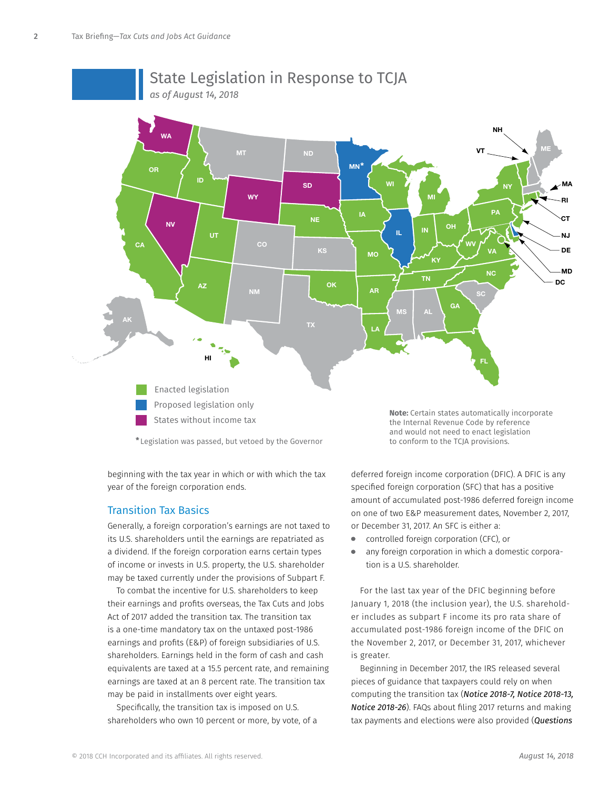

# State Legislation in Response to TCJA

**\*** Legislation was passed, but vetoed by the Governor

beginning with the tax year in which or with which the tax year of the foreign corporation ends.

States without income tax

#### Transition Tax Basics

Generally, a foreign corporation's earnings are not taxed to its U.S. shareholders until the earnings are repatriated as a dividend. If the foreign corporation earns certain types of income or invests in U.S. property, the U.S. shareholder may be taxed currently under the provisions of Subpart F.

To combat the incentive for U.S. shareholders to keep their earnings and profits overseas, the Tax Cuts and Jobs Act of 2017 added the transition tax. The transition tax is a one-time mandatory tax on the untaxed post-1986 earnings and profits (E&P) of foreign subsidiaries of U.S. shareholders. Earnings held in the form of cash and cash equivalents are taxed at a 15.5 percent rate, and remaining earnings are taxed at an 8 percent rate. The transition tax may be paid in installments over eight years.

Specifically, the transition tax is imposed on U.S. shareholders who own 10 percent or more, by vote, of a **Note:** Certain states automatically incorporate the Internal Revenue Code by reference and would not need to enact legislation to conform to the TCJA provisions.

deferred foreign income corporation (DFIC). A DFIC is any specified foreign corporation (SFC) that has a positive amount of accumulated post-1986 deferred foreign income on one of two E&P measurement dates, November 2, 2017, or December 31, 2017. An SFC is either a:

- controlled foreign corporation (CFC), or  $\bullet$
- any foreign corporation in which a domestic corporation is a U.S. shareholder.

For the last tax year of the DFIC beginning before January 1, 2018 (the inclusion year), the U.S. shareholder includes as subpart F income its pro rata share of accumulated post-1986 foreign income of the DFIC on the November 2, 2017, or December 31, 2017, whichever is greater.

Beginning in December 2017, the IRS released several pieces of guidance that taxpayers could rely on when computing the transition tax (*Notice 2018-7, Notice 2018-13, Notice 2018-26*). FAQs about filing 2017 returns and making tax payments and elections were also provided (*Questions*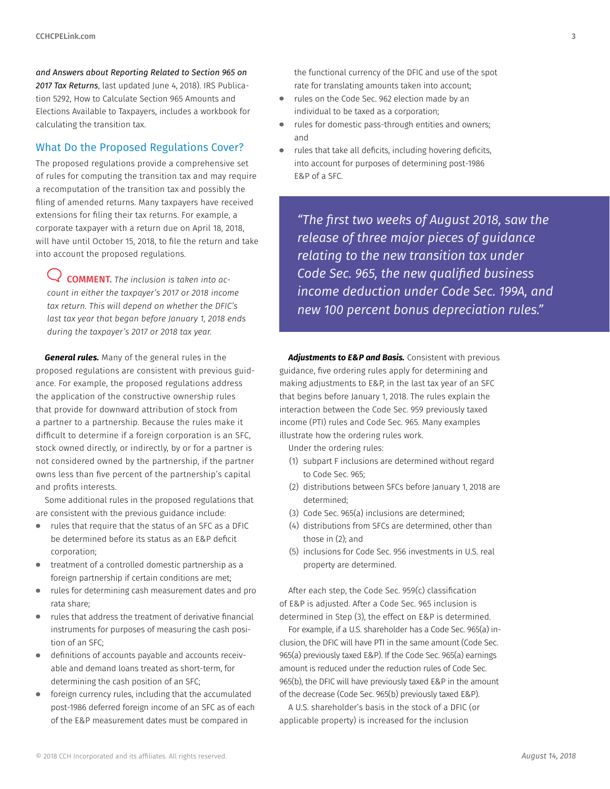*and Answers about Reporting Related to Section 965 on 2017 Tax Returns*, last updated June 4, 2018). IRS Publication 5292, How to Calculate Section 965 Amounts and Elections Available to Taxpayers, includes a workbook for calculating the transition tax.

#### What Do the Proposed Regulations Cover?

The proposed regulations provide a comprehensive set of rules for computing the transition tax and may require a recomputation of the transition tax and possibly the filing of amended returns. Many taxpayers have received extensions for filing their tax returns. For example, a corporate taxpayer with a return due on April 18, 2018, will have until October 15, 2018, to file the return and take into account the proposed regulations.

COMMENT. *The inclusion is taken into account in either the taxpayer's 2017 or 2018 income tax return. This will depend on whether the DFIC's last tax year that began before January 1, 2018 ends during the taxpayer's 2017 or 2018 tax year.*

*General rules.* Many of the general rules in the proposed regulations are consistent with previous guidance. For example, the proposed regulations address the application of the constructive ownership rules that provide for downward attribution of stock from a partner to a partnership. Because the rules make it difficult to determine if a foreign corporation is an SFC, stock owned directly, or indirectly, by or for a partner is not considered owned by the partnership, if the partner owns less than five percent of the partnership's capital and profits interests.

Some additional rules in the proposed regulations that are consistent with the previous guidance include:

- rules that require that the status of an SFC as a DFIC be determined before its status as an E&P deficit corporation;
- treatment of a controlled domestic partnership as a foreign partnership if certain conditions are met;
- rules for determining cash measurement dates and pro  $\bullet$ rata share;
- rules that address the treatment of derivative financial  $\bullet$ instruments for purposes of measuring the cash position of an SFC;
- definitions of accounts payable and accounts receivable and demand loans treated as short-term, for determining the cash position of an SFC;
- foreign currency rules, including that the accumulated post-1986 deferred foreign income of an SFC as of each of the E&P measurement dates must be compared in

the functional currency of the DFIC and use of the spot rate for translating amounts taken into account;

- $\bullet$ rules on the Code Sec. 962 election made by an individual to be taxed as a corporation;
- rules for domestic pass-through entities and owners; and
- rules that take all deficits, including hovering deficits, into account for purposes of determining post-1986 E&P of a SFC.

*"The first two weeks of August 2018, saw the release of three major pieces of guidance relating to the new transition tax under Code Sec. 965, the new qualified business income deduction under Code Sec. 199A, and new 100 percent bonus depreciation rules."*

*Adjustments to E&P and Basis.* Consistent with previous guidance, five ordering rules apply for determining and making adjustments to E&P, in the last tax year of an SFC that begins before January 1, 2018. The rules explain the interaction between the Code Sec. 959 previously taxed income (PTI) rules and Code Sec. 965. Many examples illustrate how the ordering rules work.

Under the ordering rules:

- (1) subpart F inclusions are determined without regard to Code Sec. 965;
- (2) distributions between SFCs before January 1, 2018 are determined;
- (3) Code Sec. 965(a) inclusions are determined;
- (4) distributions from SFCs are determined, other than those in (2); and
- (5) inclusions for Code Sec. 956 investments in U.S. real property are determined.

After each step, the Code Sec. 959(c) classification of E&P is adjusted. After a Code Sec. 965 inclusion is determined in Step (3), the effect on E&P is determined.

For example, if a U.S. shareholder has a Code Sec. 965(a) inclusion, the DFIC will have PTI in the same amount (Code Sec. 965(a) previously taxed E&P). If the Code Sec. 965(a) earnings amount is reduced under the reduction rules of Code Sec. 965(b), the DFIC will have previously taxed E&P in the amount of the decrease (Code Sec. 965(b) previously taxed E&P).

A U.S. shareholder's basis in the stock of a DFIC (or applicable property) is increased for the inclusion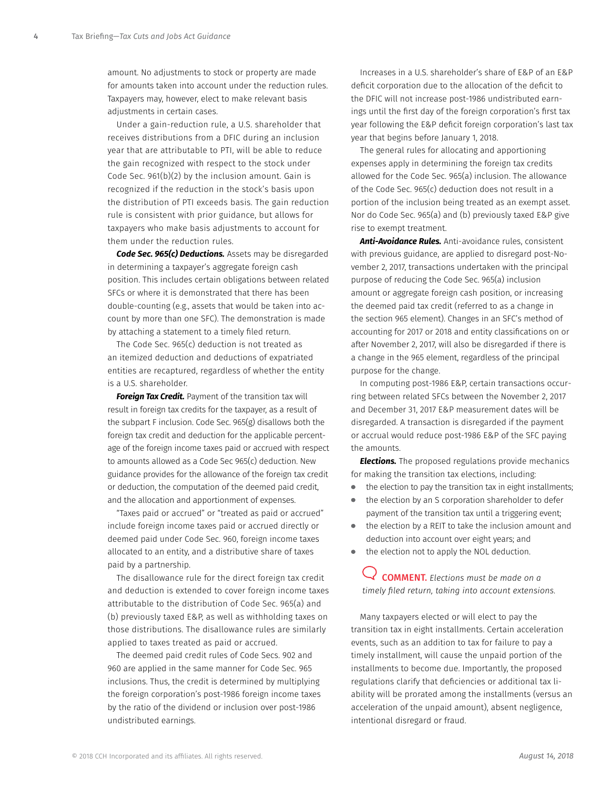amount. No adjustments to stock or property are made for amounts taken into account under the reduction rules. Taxpayers may, however, elect to make relevant basis adjustments in certain cases.

Under a gain-reduction rule, a U.S. shareholder that receives distributions from a DFIC during an inclusion year that are attributable to PTI, will be able to reduce the gain recognized with respect to the stock under Code Sec. 961(b)(2) by the inclusion amount. Gain is recognized if the reduction in the stock's basis upon the distribution of PTI exceeds basis. The gain reduction rule is consistent with prior guidance, but allows for taxpayers who make basis adjustments to account for them under the reduction rules.

*Code Sec. 965(c) Deductions.* Assets may be disregarded in determining a taxpayer's aggregate foreign cash position. This includes certain obligations between related SFCs or where it is demonstrated that there has been double-counting (e.g., assets that would be taken into account by more than one SFC). The demonstration is made by attaching a statement to a timely filed return.

The Code Sec. 965(c) deduction is not treated as an itemized deduction and deductions of expatriated entities are recaptured, regardless of whether the entity is a U.S. shareholder.

**Foreign Tax Credit.** Payment of the transition tax will result in foreign tax credits for the taxpayer, as a result of the subpart F inclusion. Code Sec. 965(g) disallows both the foreign tax credit and deduction for the applicable percentage of the foreign income taxes paid or accrued with respect to amounts allowed as a Code Sec 965(c) deduction. New guidance provides for the allowance of the foreign tax credit or deduction, the computation of the deemed paid credit, and the allocation and apportionment of expenses.

"Taxes paid or accrued" or "treated as paid or accrued" include foreign income taxes paid or accrued directly or deemed paid under Code Sec. 960, foreign income taxes allocated to an entity, and a distributive share of taxes paid by a partnership.

The disallowance rule for the direct foreign tax credit and deduction is extended to cover foreign income taxes attributable to the distribution of Code Sec. 965(a) and (b) previously taxed E&P, as well as withholding taxes on those distributions. The disallowance rules are similarly applied to taxes treated as paid or accrued.

The deemed paid credit rules of Code Secs. 902 and 960 are applied in the same manner for Code Sec. 965 inclusions. Thus, the credit is determined by multiplying the foreign corporation's post-1986 foreign income taxes by the ratio of the dividend or inclusion over post-1986 undistributed earnings.

Increases in a U.S. shareholder's share of E&P of an E&P deficit corporation due to the allocation of the deficit to the DFIC will not increase post-1986 undistributed earnings until the first day of the foreign corporation's first tax year following the E&P deficit foreign corporation's last tax year that begins before January 1, 2018.

The general rules for allocating and apportioning expenses apply in determining the foreign tax credits allowed for the Code Sec. 965(a) inclusion. The allowance of the Code Sec. 965(c) deduction does not result in a portion of the inclusion being treated as an exempt asset. Nor do Code Sec. 965(a) and (b) previously taxed E&P give rise to exempt treatment.

*Anti-Avoidance Rules.* Anti-avoidance rules, consistent with previous guidance, are applied to disregard post-November 2, 2017, transactions undertaken with the principal purpose of reducing the Code Sec. 965(a) inclusion amount or aggregate foreign cash position, or increasing the deemed paid tax credit (referred to as a change in the section 965 element). Changes in an SFC's method of accounting for 2017 or 2018 and entity classifications on or after November 2, 2017, will also be disregarded if there is a change in the 965 element, regardless of the principal purpose for the change.

In computing post-1986 E&P, certain transactions occurring between related SFCs between the November 2, 2017 and December 31, 2017 E&P measurement dates will be disregarded. A transaction is disregarded if the payment or accrual would reduce post-1986 E&P of the SFC paying the amounts.

*Elections.* The proposed regulations provide mechanics for making the transition tax elections, including:

- the election to pay the transition tax in eight installments;  $\bullet$
- the election by an S corporation shareholder to defer payment of the transition tax until a triggering event;
- the election by a REIT to take the inclusion amount and deduction into account over eight years; and
- the election not to apply the NOL deduction.

COMMENT. *Elections must be made on a timely filed return, taking into account extensions.*

Many taxpayers elected or will elect to pay the transition tax in eight installments. Certain acceleration events, such as an addition to tax for failure to pay a timely installment, will cause the unpaid portion of the installments to become due. Importantly, the proposed regulations clarify that deficiencies or additional tax liability will be prorated among the installments (versus an acceleration of the unpaid amount), absent negligence, intentional disregard or fraud.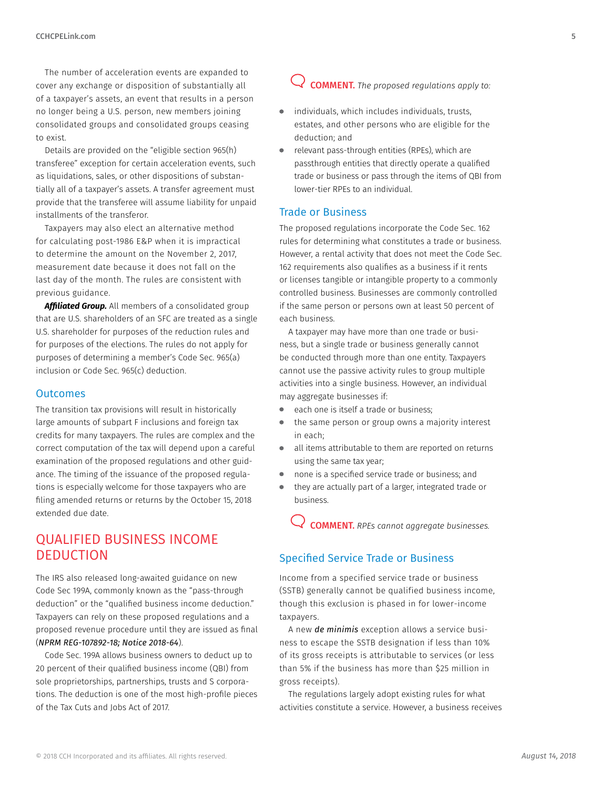<span id="page-4-0"></span>The number of acceleration events are expanded to cover any exchange or disposition of substantially all of a taxpayer's assets, an event that results in a person no longer being a U.S. person, new members joining consolidated groups and consolidated groups ceasing to exist.

Details are provided on the "eligible section 965(h) transferee" exception for certain acceleration events, such as liquidations, sales, or other dispositions of substantially all of a taxpayer's assets. A transfer agreement must provide that the transferee will assume liability for unpaid installments of the transferor.

Taxpayers may also elect an alternative method for calculating post-1986 E&P when it is impractical to determine the amount on the November 2, 2017, measurement date because it does not fall on the last day of the month. The rules are consistent with previous guidance.

*Affiliated Group.* All members of a consolidated group that are U.S. shareholders of an SFC are treated as a single U.S. shareholder for purposes of the reduction rules and for purposes of the elections. The rules do not apply for purposes of determining a member's Code Sec. 965(a) inclusion or Code Sec. 965(c) deduction.

#### **Outcomes**

The transition tax provisions will result in historically large amounts of subpart F inclusions and foreign tax credits for many taxpayers. The rules are complex and the correct computation of the tax will depend upon a careful examination of the proposed regulations and other guidance. The timing of the issuance of the proposed regulations is especially welcome for those taxpayers who are filing amended returns or returns by the October 15, 2018 extended due date.

# QUALIFIED BUSINESS INCOME **DEDUCTION**

The IRS also released long-awaited guidance on new Code Sec 199A, commonly known as the "pass-through deduction" or the "qualified business income deduction." Taxpayers can rely on these proposed regulations and a proposed revenue procedure until they are issued as final (*NPRM REG-107892-18; Notice 2018-64*).

Code Sec. 199A allows business owners to deduct up to 20 percent of their qualified business income (QBI) from sole proprietorships, partnerships, trusts and S corporations. The deduction is one of the most high-profile pieces of the Tax Cuts and Jobs Act of 2017.

# COMMENT. *The proposed regulations apply to:*

- individuals, which includes individuals, trusts,  $\bullet$ estates, and other persons who are eligible for the deduction; and
- relevant pass-through entities (RPEs), which are passthrough entities that directly operate a qualified trade or business or pass through the items of QBI from lower-tier RPEs to an individual.

#### Trade or Business

The proposed regulations incorporate the Code Sec. 162 rules for determining what constitutes a trade or business. However, a rental activity that does not meet the Code Sec. 162 requirements also qualifies as a business if it rents or licenses tangible or intangible property to a commonly controlled business. Businesses are commonly controlled if the same person or persons own at least 50 percent of each business.

A taxpayer may have more than one trade or business, but a single trade or business generally cannot be conducted through more than one entity. Taxpayers cannot use the passive activity rules to group multiple activities into a single business. However, an individual may aggregate businesses if:

- each one is itself a trade or business;
- the same person or group owns a majority interest in each;
- all items attributable to them are reported on returns using the same tax year;
- $\bullet$ none is a specified service trade or business; and
- they are actually part of a larger, integrated trade or business.

COMMENT. *RPEs cannot aggregate businesses.*

#### Specified Service Trade or Business

Income from a specified service trade or business (SSTB) generally cannot be qualified business income, though this exclusion is phased in for lower-income taxpayers.

A new *de minimis* exception allows a service business to escape the SSTB designation if less than 10% of its gross receipts is attributable to services (or less than 5% if the business has more than \$25 million in gross receipts).

The regulations largely adopt existing rules for what activities constitute a service. However, a business receives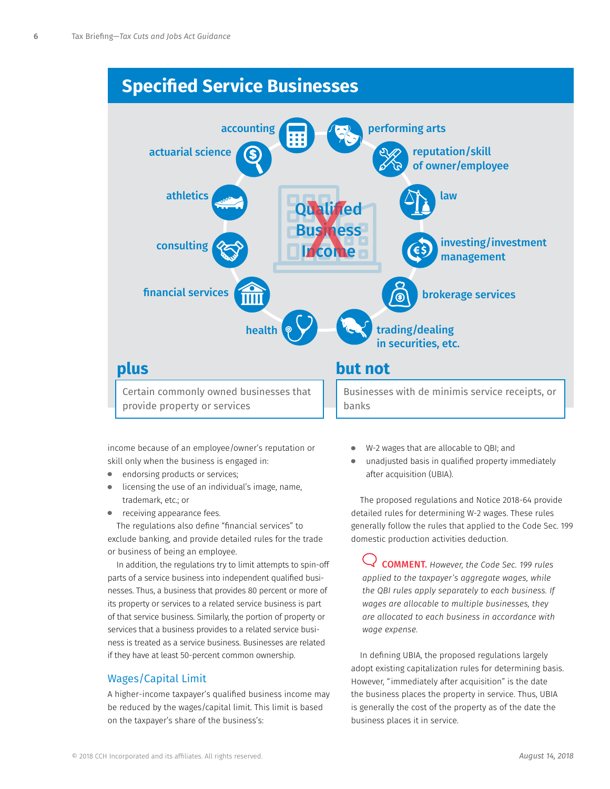# **Specified Service Businesses**



provide property or services

income because of an employee/owner's reputation or skill only when the business is engaged in:

- $\bullet$ endorsing products or services;
- licensing the use of an individual's image, name, trademark, etc.; or
- **•** receiving appearance fees.

The regulations also define "financial services" to exclude banking, and provide detailed rules for the trade or business of being an employee.

In addition, the regulations try to limit attempts to spin-off parts of a service business into independent qualified businesses. Thus, a business that provides 80 percent or more of its property or services to a related service business is part of that service business. Similarly, the portion of property or services that a business provides to a related service business is treated as a service business. Businesses are related if they have at least 50-percent common ownership.

#### Wages/Capital Limit

A higher-income taxpayer's qualified business income may be reduced by the wages/capital limit. This limit is based on the taxpayer's share of the business's:

- W-2 wages that are allocable to QBI; and
- unadjusted basis in qualified property immediately after acquisition (UBIA).

The proposed regulations and Notice 2018-64 provide detailed rules for determining W-2 wages. These rules generally follow the rules that applied to the Code Sec. 199 domestic production activities deduction.

COMMENT. *However, the Code Sec. 199 rules applied to the taxpayer's aggregate wages, while the QBI rules apply separately to each business. If wages are allocable to multiple businesses, they are allocated to each business in accordance with wage expense.*

In defining UBIA, the proposed regulations largely adopt existing capitalization rules for determining basis. However, "immediately after acquisition" is the date the business places the property in service. Thus, UBIA is generally the cost of the property as of the date the business places it in service.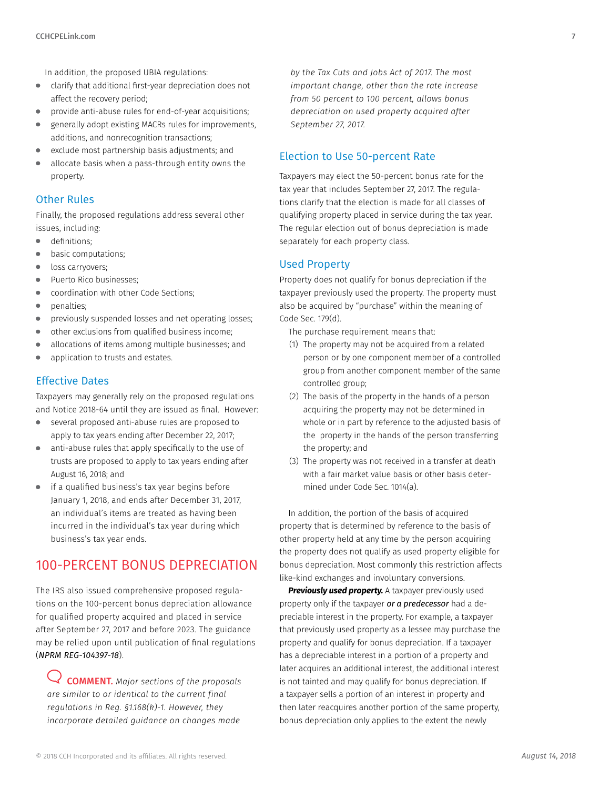<span id="page-6-0"></span>In addition, the proposed UBIA regulations:

- $\bullet$ clarify that additional first-year depreciation does not affect the recovery period;
- provide anti-abuse rules for end-of-year acquisitions;  $\qquad \qquad \bullet$
- generally adopt existing MACRs rules for improvements,  $\bullet$ additions, and nonrecognition transactions;
- exclude most partnership basis adjustments; and
- allocate basis when a pass-through entity owns the property.

#### Other Rules

Finally, the proposed regulations address several other issues, including:

- $\bullet$ definitions;
- basic computations;
- loss carryovers;
- Puerto Rico businesses;
- coordination with other Code Sections;  $\bullet$
- penalties;  $\bullet$
- previously suspended losses and net operating losses;
- other exclusions from qualified business income;  $\bullet$
- allocations of items among multiple businesses; and
- application to trusts and estates.

#### Effective Dates

Taxpayers may generally rely on the proposed regulations and Notice 2018-64 until they are issued as final. However:

- several proposed anti-abuse rules are proposed to apply to tax years ending after December 22, 2017;
- $\bullet$ anti-abuse rules that apply specifically to the use of trusts are proposed to apply to tax years ending after August 16, 2018; and
- if a qualified business's tax year begins before January 1, 2018, and ends after December 31, 2017, an individual's items are treated as having been incurred in the individual's tax year during which business's tax year ends.

### 100-PERCENT BONUS DEPRECIATION

The IRS also issued comprehensive proposed regulations on the 100-percent bonus depreciation allowance for qualified property acquired and placed in service after September 27, 2017 and before 2023. The guidance may be relied upon until publication of final regulations (*NPRM REG-104397-18*).

COMMENT. *Major sections of the proposals are similar to or identical to the current final regulations in Reg. §1.168(k)-1. However, they incorporate detailed guidance on changes made* 

*by the Tax Cuts and Jobs Act of 2017. The most important change, other than the rate increase from 50 percent to 100 percent, allows bonus depreciation on used property acquired after September 27, 2017.* 

#### Election to Use 50-percent Rate

Taxpayers may elect the 50-percent bonus rate for the tax year that includes September 27, 2017. The regulations clarify that the election is made for all classes of qualifying property placed in service during the tax year. The regular election out of bonus depreciation is made separately for each property class.

#### Used Property

Property does not qualify for bonus depreciation if the taxpayer previously used the property. The property must also be acquired by "purchase" within the meaning of Code Sec. 179(d).

The purchase requirement means that:

- (1) The property may not be acquired from a related person or by one component member of a controlled group from another component member of the same controlled group;
- (2) The basis of the property in the hands of a person acquiring the property may not be determined in whole or in part by reference to the adjusted basis of the property in the hands of the person transferring the property; and
- (3) The property was not received in a transfer at death with a fair market value basis or other basis determined under Code Sec. 1014(a).

In addition, the portion of the basis of acquired property that is determined by reference to the basis of other property held at any time by the person acquiring the property does not qualify as used property eligible for bonus depreciation. Most commonly this restriction affects like-kind exchanges and involuntary conversions.

*Previously used property.* A taxpayer previously used property only if the taxpayer *or a predecessor* had a depreciable interest in the property. For example, a taxpayer that previously used property as a lessee may purchase the property and qualify for bonus depreciation. If a taxpayer has a depreciable interest in a portion of a property and later acquires an additional interest, the additional interest is not tainted and may qualify for bonus depreciation. If a taxpayer sells a portion of an interest in property and then later reacquires another portion of the same property, bonus depreciation only applies to the extent the newly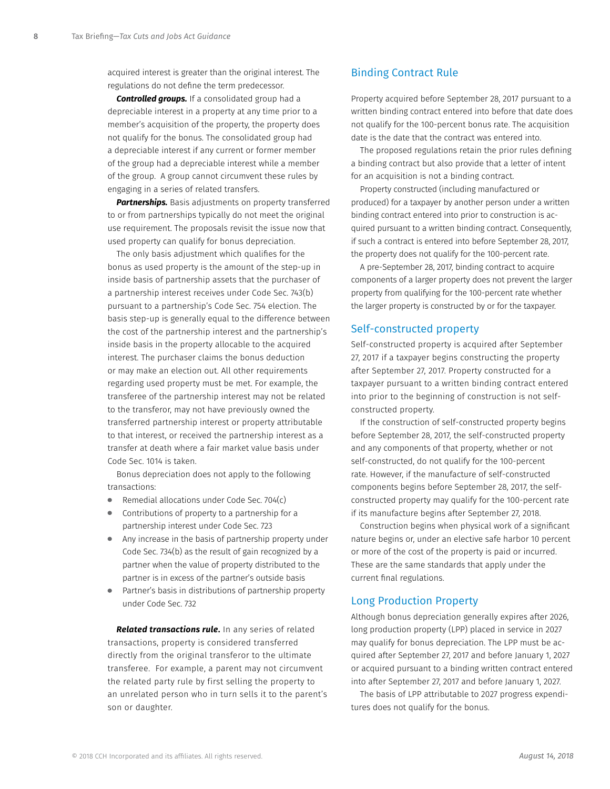acquired interest is greater than the original interest. The regulations do not define the term predecessor.

**Controlled groups.** If a consolidated group had a depreciable interest in a property at any time prior to a member's acquisition of the property, the property does not qualify for the bonus. The consolidated group had a depreciable interest if any current or former member of the group had a depreciable interest while a member of the group. A group cannot circumvent these rules by engaging in a series of related transfers.

**Partnerships.** Basis adjustments on property transferred to or from partnerships typically do not meet the original use requirement. The proposals revisit the issue now that used property can qualify for bonus depreciation.

The only basis adjustment which qualifies for the bonus as used property is the amount of the step-up in inside basis of partnership assets that the purchaser of a partnership interest receives under Code Sec. 743(b) pursuant to a partnership's Code Sec. 754 election. The basis step-up is generally equal to the difference between the cost of the partnership interest and the partnership's inside basis in the property allocable to the acquired interest. The purchaser claims the bonus deduction or may make an election out. All other requirements regarding used property must be met. For example, the transferee of the partnership interest may not be related to the transferor, may not have previously owned the transferred partnership interest or property attributable to that interest, or received the partnership interest as a transfer at death where a fair market value basis under Code Sec. 1014 is taken.

Bonus depreciation does not apply to the following transactions:

- Remedial allocations under Code Sec. 704(c)
- Contributions of property to a partnership for a partnership interest under Code Sec. 723
- Any increase in the basis of partnership property under Code Sec. 734(b) as the result of gain recognized by a partner when the value of property distributed to the partner is in excess of the partner's outside basis
- Partner's basis in distributions of partnership property under Code Sec. 732

*Related transactions rule***.** In any series of related transactions, property is considered transferred directly from the original transferor to the ultimate transferee. For example, a parent may not circumvent the related party rule by first selling the property to an unrelated person who in turn sells it to the parent's son or daughter.

#### Binding Contract Rule

Property acquired before September 28, 2017 pursuant to a written binding contract entered into before that date does not qualify for the 100-percent bonus rate. The acquisition date is the date that the contract was entered into.

The proposed regulations retain the prior rules defining a binding contract but also provide that a letter of intent for an acquisition is not a binding contract.

Property constructed (including manufactured or produced) for a taxpayer by another person under a written binding contract entered into prior to construction is acquired pursuant to a written binding contract. Consequently, if such a contract is entered into before September 28, 2017, the property does not qualify for the 100-percent rate.

A pre-September 28, 2017, binding contract to acquire components of a larger property does not prevent the larger property from qualifying for the 100-percent rate whether the larger property is constructed by or for the taxpayer.

#### Self-constructed property

Self-constructed property is acquired after September 27, 2017 if a taxpayer begins constructing the property after September 27, 2017. Property constructed for a taxpayer pursuant to a written binding contract entered into prior to the beginning of construction is not selfconstructed property.

If the construction of self-constructed property begins before September 28, 2017, the self-constructed property and any components of that property, whether or not self-constructed, do not qualify for the 100-percent rate. However, if the manufacture of self-constructed components begins before September 28, 2017, the selfconstructed property may qualify for the 100-percent rate if its manufacture begins after September 27, 2018.

Construction begins when physical work of a significant nature begins or, under an elective safe harbor 10 percent or more of the cost of the property is paid or incurred. These are the same standards that apply under the current final regulations.

#### Long Production Property

Although bonus depreciation generally expires after 2026, long production property (LPP) placed in service in 2027 may qualify for bonus depreciation. The LPP must be acquired after September 27, 2017 and before January 1, 2027 or acquired pursuant to a binding written contract entered into after September 27, 2017 and before January 1, 2027.

The basis of LPP attributable to 2027 progress expenditures does not qualify for the bonus.